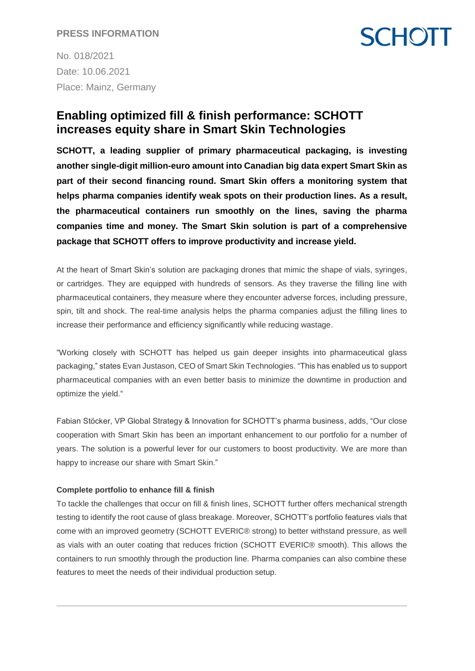# **SCHOTT**

No. 018/2021 Date: 10.06.2021 Place: Mainz, Germany

## **Enabling optimized fill & finish performance: SCHOTT increases equity share in Smart Skin Technologies**

**SCHOTT, a leading supplier of primary pharmaceutical packaging, is investing another single-digit million-euro amount into Canadian big data expert Smart Skin as part of their second financing round. Smart Skin offers a monitoring system that helps pharma companies identify weak spots on their production lines. As a result, the pharmaceutical containers run smoothly on the lines, saving the pharma companies time and money. The Smart Skin solution is part of a comprehensive package that SCHOTT offers to improve productivity and increase yield.** 

At the heart of Smart Skin's solution are packaging drones that mimic the shape of vials, syringes, or cartridges. They are equipped with hundreds of sensors. As they traverse the filling line with pharmaceutical containers, they measure where they encounter adverse forces, including pressure, spin, tilt and shock. The real-time analysis helps the pharma companies adjust the filling lines to increase their performance and efficiency significantly while reducing wastage.

"Working closely with SCHOTT has helped us gain deeper insights into pharmaceutical glass packaging," states Evan Justason, CEO of Smart Skin Technologies. "This has enabled us to support pharmaceutical companies with an even better basis to minimize the downtime in production and optimize the yield."

Fabian Stöcker, VP Global Strategy & Innovation for SCHOTT's pharma business, adds, "Our close cooperation with Smart Skin has been an important enhancement to our portfolio for a number of years. The solution is a powerful lever for our customers to boost productivity. We are more than happy to increase our share with Smart Skin."

### **Complete portfolio to enhance fill & finish**

To tackle the challenges that occur on fill & finish lines, SCHOTT further offers mechanical strength testing to identify the root cause of glass breakage. Moreover, SCHOTT's portfolio features vials that come with an improved geometry (SCHOTT EVERIC® strong) to better withstand pressure, as well as vials with an outer coating that reduces friction (SCHOTT EVERIC® smooth). This allows the containers to run smoothly through the production line. Pharma companies can also combine these features to meet the needs of their individual production setup.